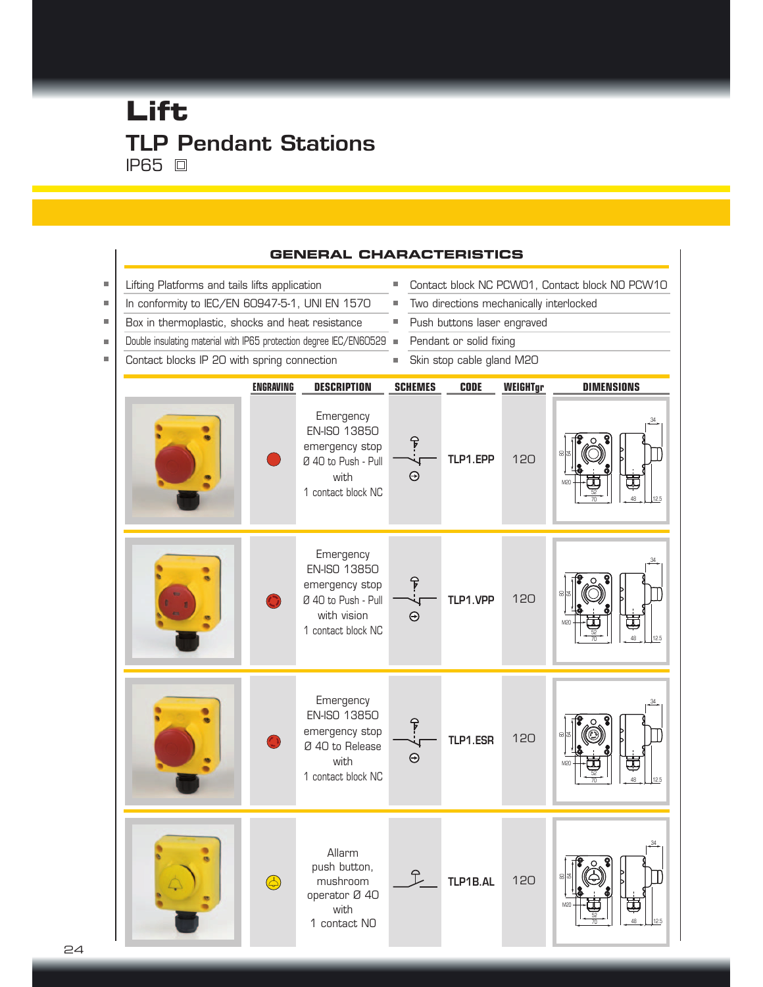# **Lift** TLP Pendant Stations **IP65** 回



#### **GENERAL CHARACTERISTICS**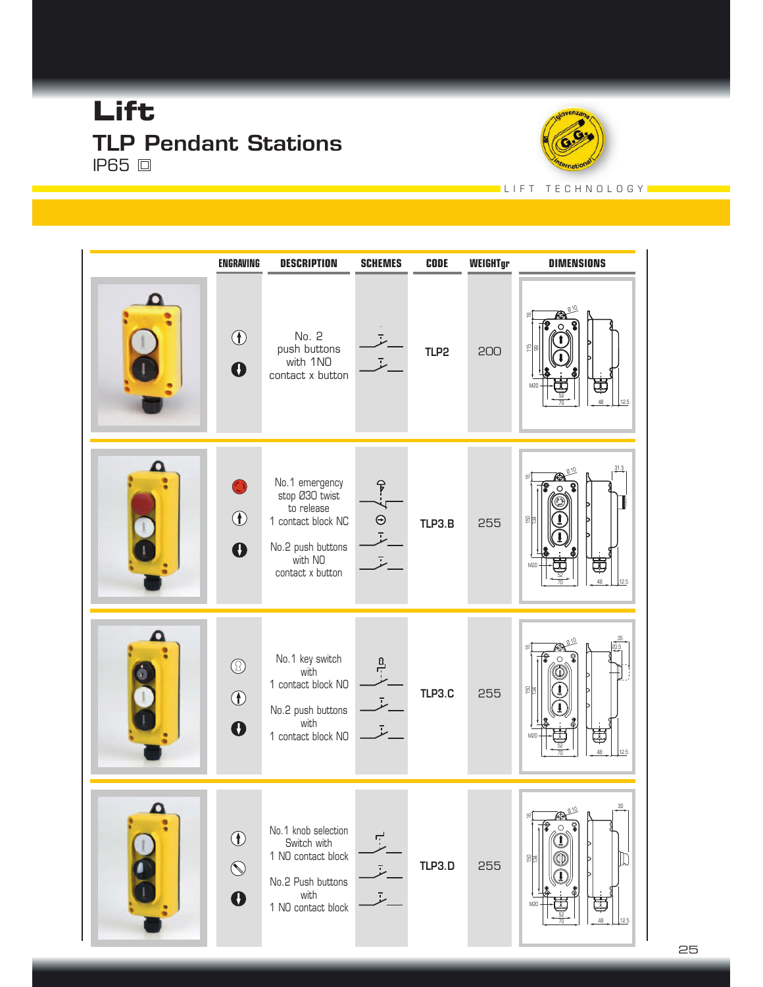# **Lift** TLP Pendant Stations **IP65** 回



#### L I F T T E C H N O L O G Y